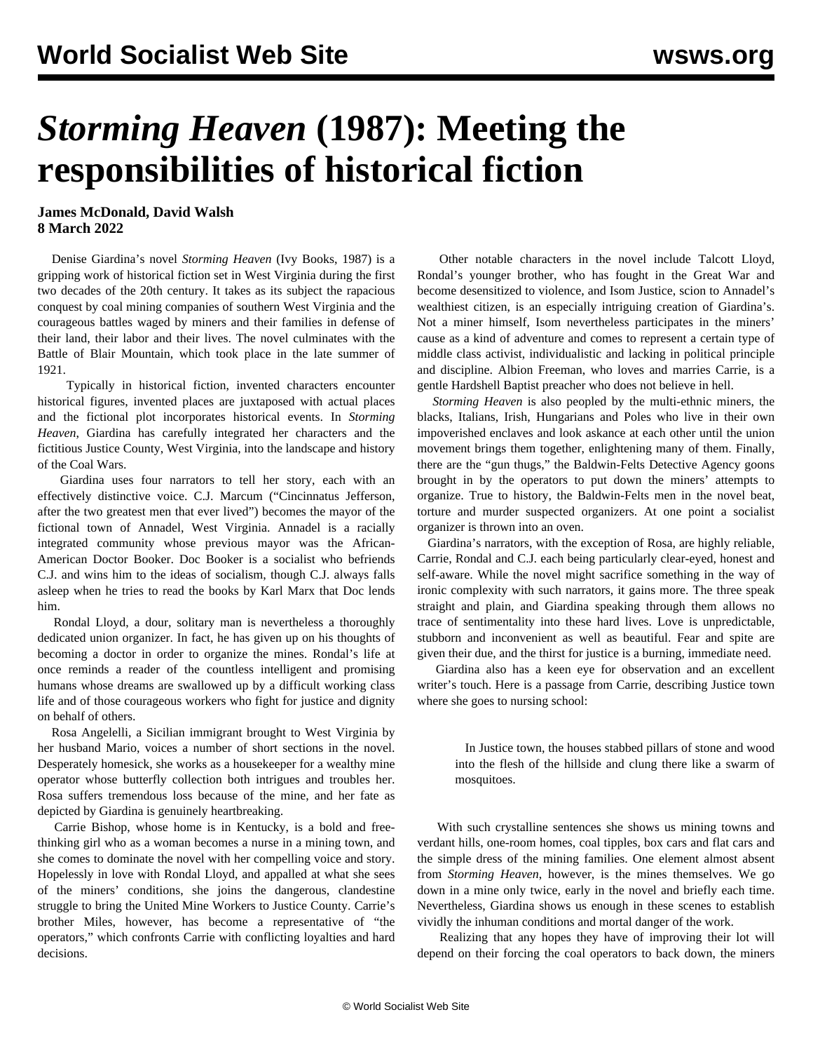## *Storming Heaven* **(1987): Meeting the responsibilities of historical fiction**

## **James McDonald, David Walsh 8 March 2022**

 Denise Giardina's novel *Storming Heaven* (Ivy Books, 1987) is a gripping work of historical fiction set in West Virginia during the first two decades of the 20th century. It takes as its subject the rapacious conquest by coal mining companies of southern West Virginia and the courageous battles waged by miners and their families in defense of their land, their labor and their lives. The novel culminates with the [Battle of Blair Mountain](/en/articles/2021/09/10/bmtn-s10.html), which took place in the late summer of 1921.

 Typically in historical fiction, invented characters encounter historical figures, invented places are juxtaposed with actual places and the fictional plot incorporates historical events. In *Storming Heaven*, Giardina has carefully integrated her characters and the fictitious Justice County, West Virginia, into the landscape and history of the Coal Wars.

 Giardina uses four narrators to tell her story, each with an effectively distinctive voice. C.J. Marcum ("Cincinnatus Jefferson, after the two greatest men that ever lived") becomes the mayor of the fictional town of Annadel, West Virginia. Annadel is a racially integrated community whose previous mayor was the African-American Doctor Booker. Doc Booker is a socialist who befriends C.J. and wins him to the ideas of socialism, though C.J. always falls asleep when he tries to read the books by Karl Marx that Doc lends him.

 Rondal Lloyd, a dour, solitary man is nevertheless a thoroughly dedicated union organizer. In fact, he has given up on his thoughts of becoming a doctor in order to organize the mines. Rondal's life at once reminds a reader of the countless intelligent and promising humans whose dreams are swallowed up by a difficult working class life and of those courageous workers who fight for justice and dignity on behalf of others.

 Rosa Angelelli, a Sicilian immigrant brought to West Virginia by her husband Mario, voices a number of short sections in the novel. Desperately homesick, she works as a housekeeper for a wealthy mine operator whose butterfly collection both intrigues and troubles her. Rosa suffers tremendous loss because of the mine, and her fate as depicted by Giardina is genuinely heartbreaking.

 Carrie Bishop, whose home is in Kentucky, is a bold and freethinking girl who as a woman becomes a nurse in a mining town, and she comes to dominate the novel with her compelling voice and story. Hopelessly in love with Rondal Lloyd, and appalled at what she sees of the miners' conditions, she joins the dangerous, clandestine struggle to bring the United Mine Workers to Justice County. Carrie's brother Miles, however, has become a representative of "the operators," which confronts Carrie with conflicting loyalties and hard decisions.

 Other notable characters in the novel include Talcott Lloyd, Rondal's younger brother, who has fought in the Great War and become desensitized to violence, and Isom Justice, scion to Annadel's wealthiest citizen, is an especially intriguing creation of Giardina's. Not a miner himself, Isom nevertheless participates in the miners' cause as a kind of adventure and comes to represent a certain type of middle class activist, individualistic and lacking in political principle and discipline. Albion Freeman, who loves and marries Carrie, is a gentle Hardshell Baptist preacher who does not believe in hell.

 *Storming Heaven* is also peopled by the multi-ethnic miners, the blacks, Italians, Irish, Hungarians and Poles who live in their own impoverished enclaves and look askance at each other until the union movement brings them together, enlightening many of them. Finally, there are the "gun thugs," the Baldwin-Felts Detective Agency goons brought in by the operators to put down the miners' attempts to organize. True to history, the Baldwin-Felts men in the novel beat, torture and murder suspected organizers. At one point a socialist organizer is thrown into an oven.

 Giardina's narrators, with the exception of Rosa, are highly reliable, Carrie, Rondal and C.J. each being particularly clear-eyed, honest and self-aware. While the novel might sacrifice something in the way of ironic complexity with such narrators, it gains more. The three speak straight and plain, and Giardina speaking through them allows no trace of sentimentality into these hard lives. Love is unpredictable, stubborn and inconvenient as well as beautiful. Fear and spite are given their due, and the thirst for justice is a burning, immediate need.

 Giardina also has a keen eye for observation and an excellent writer's touch. Here is a passage from Carrie, describing Justice town where she goes to nursing school:

> In Justice town, the houses stabbed pillars of stone and wood into the flesh of the hillside and clung there like a swarm of mosquitoes.

 With such crystalline sentences she shows us mining towns and verdant hills, one-room homes, coal tipples, box cars and flat cars and the simple dress of the mining families. One element almost absent from *Storming Heaven*, however, is the mines themselves. We go down in a mine only twice, early in the novel and briefly each time. Nevertheless, Giardina shows us enough in these scenes to establish vividly the inhuman conditions and mortal danger of the work.

 Realizing that any hopes they have of improving their lot will depend on their forcing the coal operators to back down, the miners